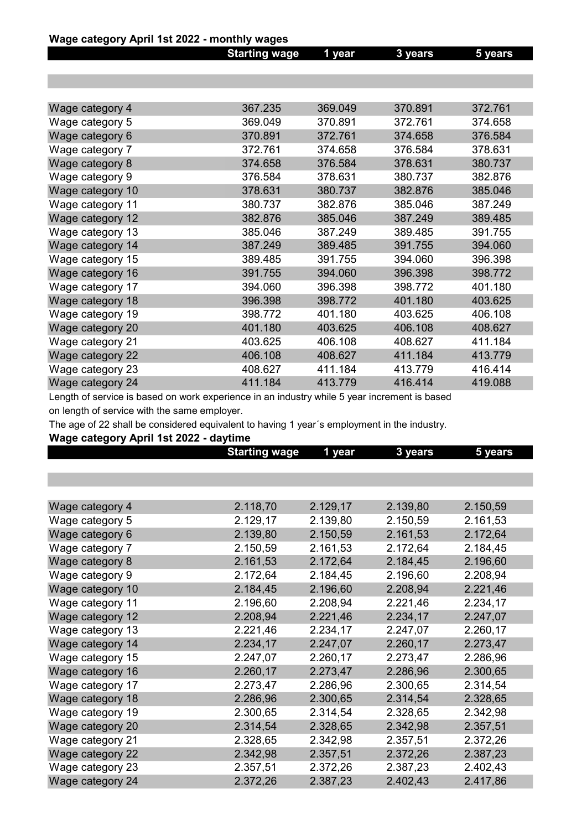#### Wage category April 1st 2022 - monthly wages

|                  | <b>Starting wage</b> | 1 year  | 3 years | 5 years |
|------------------|----------------------|---------|---------|---------|
|                  |                      |         |         |         |
|                  |                      |         |         |         |
|                  |                      |         |         |         |
| Wage category 4  | 367.235              | 369.049 | 370.891 | 372.761 |
| Wage category 5  | 369.049              | 370.891 | 372.761 | 374.658 |
| Wage category 6  | 370.891              | 372.761 | 374.658 | 376.584 |
| Wage category 7  | 372.761              | 374.658 | 376.584 | 378.631 |
| Wage category 8  | 374.658              | 376.584 | 378.631 | 380.737 |
| Wage category 9  | 376.584              | 378.631 | 380.737 | 382.876 |
| Wage category 10 | 378.631              | 380.737 | 382.876 | 385.046 |
| Wage category 11 | 380.737              | 382.876 | 385.046 | 387.249 |
| Wage category 12 | 382.876              | 385.046 | 387.249 | 389.485 |
| Wage category 13 | 385.046              | 387.249 | 389.485 | 391.755 |
| Wage category 14 | 387.249              | 389.485 | 391.755 | 394.060 |
| Wage category 15 | 389.485              | 391.755 | 394.060 | 396.398 |
| Wage category 16 | 391.755              | 394.060 | 396.398 | 398.772 |
| Wage category 17 | 394.060              | 396.398 | 398.772 | 401.180 |
| Wage category 18 | 396.398              | 398.772 | 401.180 | 403.625 |
| Wage category 19 | 398.772              | 401.180 | 403.625 | 406.108 |
| Wage category 20 | 401.180              | 403.625 | 406.108 | 408.627 |
| Wage category 21 | 403.625              | 406.108 | 408.627 | 411.184 |
| Wage category 22 | 406.108              | 408.627 | 411.184 | 413.779 |
| Wage category 23 | 408.627              | 411.184 | 413.779 | 416.414 |
| Wage category 24 | 411.184              | 413.779 | 416.414 | 419.088 |
|                  |                      |         |         |         |

Length of service is based on work experience in an industry while 5 year increment is based on length of service with the same employer.

The age of 22 shall be considered equivalent to having 1 year´s employment in the industry.

#### Wage category April 1st 2022 - daytime

|                  | <b>Starting wage</b> | 1 year   | 3 years  | 5 years  |
|------------------|----------------------|----------|----------|----------|
|                  |                      |          |          |          |
|                  |                      |          |          |          |
|                  |                      |          |          |          |
| Wage category 4  | 2.118,70             | 2.129,17 | 2.139,80 | 2.150,59 |
| Wage category 5  | 2.129,17             | 2.139,80 | 2.150,59 | 2.161,53 |
| Wage category 6  | 2.139,80             | 2.150,59 | 2.161,53 | 2.172,64 |
| Wage category 7  | 2.150,59             | 2.161,53 | 2.172,64 | 2.184,45 |
| Wage category 8  | 2.161,53             | 2.172,64 | 2.184,45 | 2.196,60 |
| Wage category 9  | 2.172,64             | 2.184,45 | 2.196,60 | 2.208,94 |
| Wage category 10 | 2.184,45             | 2.196,60 | 2.208,94 | 2.221,46 |
| Wage category 11 | 2.196,60             | 2.208,94 | 2.221,46 | 2.234,17 |
| Wage category 12 | 2.208,94             | 2.221,46 | 2.234,17 | 2.247,07 |
| Wage category 13 | 2.221,46             | 2.234,17 | 2.247,07 | 2.260,17 |
| Wage category 14 | 2.234,17             | 2.247,07 | 2.260,17 | 2.273,47 |
| Wage category 15 | 2.247,07             | 2.260,17 | 2.273,47 | 2.286,96 |
| Wage category 16 | 2.260,17             | 2.273,47 | 2.286,96 | 2.300,65 |
| Wage category 17 | 2.273,47             | 2.286,96 | 2.300,65 | 2.314,54 |
| Wage category 18 | 2.286,96             | 2.300,65 | 2.314,54 | 2.328,65 |
| Wage category 19 | 2.300,65             | 2.314,54 | 2.328,65 | 2.342,98 |
| Wage category 20 | 2.314,54             | 2.328,65 | 2.342,98 | 2.357,51 |
| Wage category 21 | 2.328,65             | 2.342,98 | 2.357,51 | 2.372,26 |
| Wage category 22 | 2.342,98             | 2.357,51 | 2.372,26 | 2.387,23 |
| Wage category 23 | 2.357,51             | 2.372,26 | 2.387,23 | 2.402,43 |
| Wage category 24 | 2.372,26             | 2.387,23 | 2.402,43 | 2.417,86 |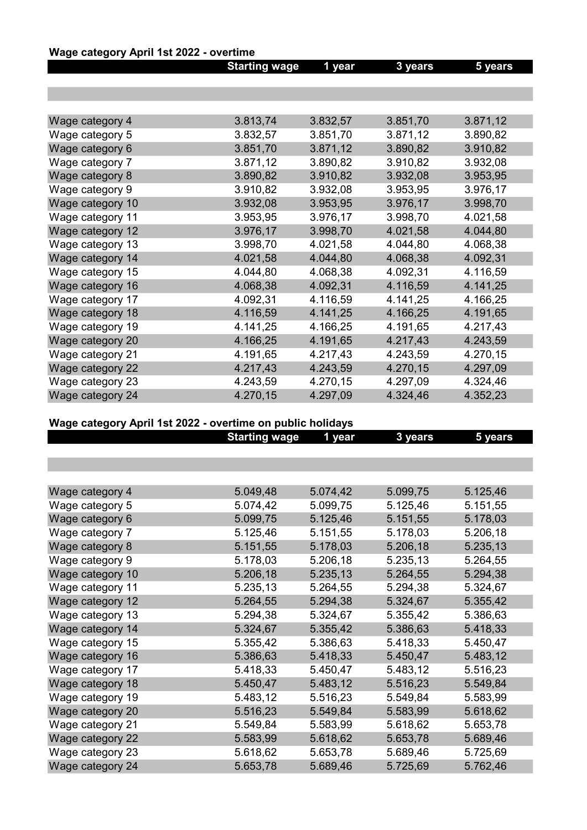# Wage category April 1st 2022 - overtime

|                  | <b>Starting wage</b> | 1 year   | 3 years  | 5 years  |
|------------------|----------------------|----------|----------|----------|
|                  |                      |          |          |          |
|                  |                      |          |          |          |
|                  |                      |          |          |          |
| Wage category 4  | 3.813,74             | 3.832,57 | 3.851,70 | 3.871,12 |
| Wage category 5  | 3.832,57             | 3.851,70 | 3.871,12 | 3.890,82 |
| Wage category 6  | 3.851,70             | 3.871,12 | 3.890,82 | 3.910,82 |
| Wage category 7  | 3.871,12             | 3.890,82 | 3.910,82 | 3.932,08 |
| Wage category 8  | 3.890,82             | 3.910,82 | 3.932,08 | 3.953,95 |
| Wage category 9  | 3.910,82             | 3.932,08 | 3.953,95 | 3.976,17 |
| Wage category 10 | 3.932,08             | 3.953,95 | 3.976,17 | 3.998,70 |
| Wage category 11 | 3.953,95             | 3.976,17 | 3.998,70 | 4.021,58 |
| Wage category 12 | 3.976,17             | 3.998,70 | 4.021,58 | 4.044,80 |
| Wage category 13 | 3.998,70             | 4.021,58 | 4.044,80 | 4.068,38 |
| Wage category 14 | 4.021,58             | 4.044,80 | 4.068,38 | 4.092,31 |
| Wage category 15 | 4.044,80             | 4.068,38 | 4.092,31 | 4.116,59 |
| Wage category 16 | 4.068,38             | 4.092,31 | 4.116,59 | 4.141,25 |
| Wage category 17 | 4.092,31             | 4.116,59 | 4.141,25 | 4.166,25 |
| Wage category 18 | 4.116,59             | 4.141,25 | 4.166,25 | 4.191,65 |
| Wage category 19 | 4.141,25             | 4.166,25 | 4.191,65 | 4.217,43 |
| Wage category 20 | 4.166,25             | 4.191,65 | 4.217,43 | 4.243,59 |
| Wage category 21 | 4.191,65             | 4.217,43 | 4.243,59 | 4.270,15 |
| Wage category 22 | 4.217,43             | 4.243,59 | 4.270,15 | 4.297,09 |
| Wage category 23 | 4.243,59             | 4.270,15 | 4.297,09 | 4.324,46 |
| Wage category 24 | 4.270,15             | 4.297,09 | 4.324,46 | 4.352,23 |

# Wage category April 1st 2022 - overtime on public holidays

|                  | <b>Starting wage</b> | 1 year   | 3 years  | 5 years  |
|------------------|----------------------|----------|----------|----------|
|                  |                      |          |          |          |
|                  |                      |          |          |          |
|                  |                      |          |          |          |
| Wage category 4  | 5.049,48             | 5.074,42 | 5.099,75 | 5.125,46 |
| Wage category 5  | 5.074,42             | 5.099,75 | 5.125,46 | 5.151,55 |
| Wage category 6  | 5.099,75             | 5.125,46 | 5.151,55 | 5.178,03 |
| Wage category 7  | 5.125,46             | 5.151,55 | 5.178,03 | 5.206,18 |
| Wage category 8  | 5.151,55             | 5.178,03 | 5.206,18 | 5.235,13 |
| Wage category 9  | 5.178,03             | 5.206,18 | 5.235,13 | 5.264,55 |
| Wage category 10 | 5.206,18             | 5.235,13 | 5.264,55 | 5.294,38 |
| Wage category 11 | 5.235,13             | 5.264,55 | 5.294,38 | 5.324,67 |
| Wage category 12 | 5.264,55             | 5.294,38 | 5.324,67 | 5.355,42 |
| Wage category 13 | 5.294,38             | 5.324,67 | 5.355,42 | 5.386,63 |
| Wage category 14 | 5.324,67             | 5.355,42 | 5.386,63 | 5.418,33 |
| Wage category 15 | 5.355,42             | 5.386,63 | 5.418,33 | 5.450,47 |
| Wage category 16 | 5.386,63             | 5.418,33 | 5.450,47 | 5.483,12 |
| Wage category 17 | 5.418,33             | 5.450,47 | 5.483,12 | 5.516,23 |
| Wage category 18 | 5.450,47             | 5.483,12 | 5.516,23 | 5.549,84 |
| Wage category 19 | 5.483,12             | 5.516,23 | 5.549,84 | 5.583,99 |
| Wage category 20 | 5.516,23             | 5.549,84 | 5.583,99 | 5.618,62 |
| Wage category 21 | 5.549,84             | 5.583,99 | 5.618,62 | 5.653,78 |
| Wage category 22 | 5.583,99             | 5.618,62 | 5.653,78 | 5.689,46 |
| Wage category 23 | 5.618,62             | 5.653,78 | 5.689,46 | 5.725,69 |
| Wage category 24 | 5.653,78             | 5.689,46 | 5.725,69 | 5.762,46 |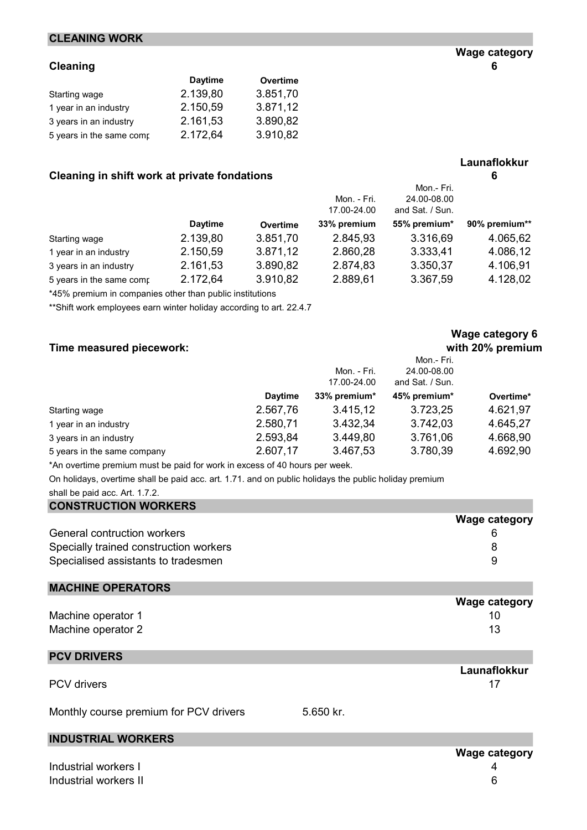#### CLEANING WORK

#### Cleaning 6

|                          | <b>Daytime</b> | Overtime |
|--------------------------|----------------|----------|
| Starting wage            | 2.139,80       | 3.851,70 |
| 1 year in an industry    | 2.150,59       | 3.871,12 |
| 3 years in an industry   | 2.161,53       | 3.890,82 |
| 5 years in the same comp | 2.172,64       | 3.910,82 |

#### Cleaning in shift work at private fondations **6** 6

|                          |                | Mon. - Fri.<br>17.00-24.00 | Mon.- Fri.<br>24.00-08.00<br>and Sat. / Sun. |              |               |
|--------------------------|----------------|----------------------------|----------------------------------------------|--------------|---------------|
|                          | <b>Daytime</b> | Overtime                   | 33% premium                                  | 55% premium* | 90% premium** |
| Starting wage            | 2.139,80       | 3.851,70                   | 2.845,93                                     | 3.316,69     | 4.065,62      |
| 1 year in an industry    | 2.150,59       | 3.871,12                   | 2.860,28                                     | 3.333,41     | 4.086,12      |
| 3 years in an industry   | 2.161,53       | 3.890,82                   | 2.874,83                                     | 3.350,37     | 4.106,91      |
| 5 years in the same comp | 2.172,64       | 3.910,82                   | 2.889,61                                     | 3.367,59     | 4.128,02      |

\*45% premium in companies other than public institutions

\*\*Shift work employees earn winter holiday according to art. 22.4.7

#### Time measured piecework: with 20% premium

|                             |                |              | Mon.- Fri.      |           |
|-----------------------------|----------------|--------------|-----------------|-----------|
|                             |                | Mon. - Fri.  | 24.00-08.00     |           |
|                             |                | 17.00-24.00  | and Sat. / Sun. |           |
|                             | <b>Daytime</b> | 33% premium* | 45% premium*    | Overtime* |
| Starting wage               | 2.567,76       | 3.415,12     | 3.723,25        | 4.621,97  |
| 1 year in an industry       | 2.580,71       | 3.432,34     | 3.742,03        | 4.645,27  |
| 3 years in an industry      | 2.593,84       | 3.449,80     | 3.761,06        | 4.668,90  |
| 5 years in the same company | 2.607,17       | 3.467,53     | 3.780,39        | 4.692,90  |

\*An overtime premium must be paid for work in excess of 40 hours per week.

On holidays, overtime shall be paid acc. art. 1.71. and on public holidays the public holiday premium

| shall be paid acc. Art. 1.7.2. |  |  |  |  |
|--------------------------------|--|--|--|--|
|--------------------------------|--|--|--|--|

| <b>CONSTRUCTION WORKERS</b>            |                      |
|----------------------------------------|----------------------|
|                                        | <b>Wage category</b> |
| <b>General contruction workers</b>     |                      |
| Specially trained construction workers | 8                    |
| Specialised assistants to tradesmen    | 9                    |
| <b>MACHINE OPERATORS</b>               |                      |

|                    | <b>Wage category</b> |
|--------------------|----------------------|
| Machine operator 1 |                      |
| Machine operator 2 | 13                   |

#### PCV DRIVERS

PCV drivers and the set of the set of the set of the set of the set of the set of the set of the set of the set of the set of the set of the set of the set of the set of the set of the set of the set of the set of the set

Monthly course premium for PCV drivers 5.650 kr.

#### INDUSTRIAL WORKERS

| Industrial workers I  |  |
|-----------------------|--|
| Industrial workers II |  |

# Wage category 6

Launaflokkur

Launaflokkur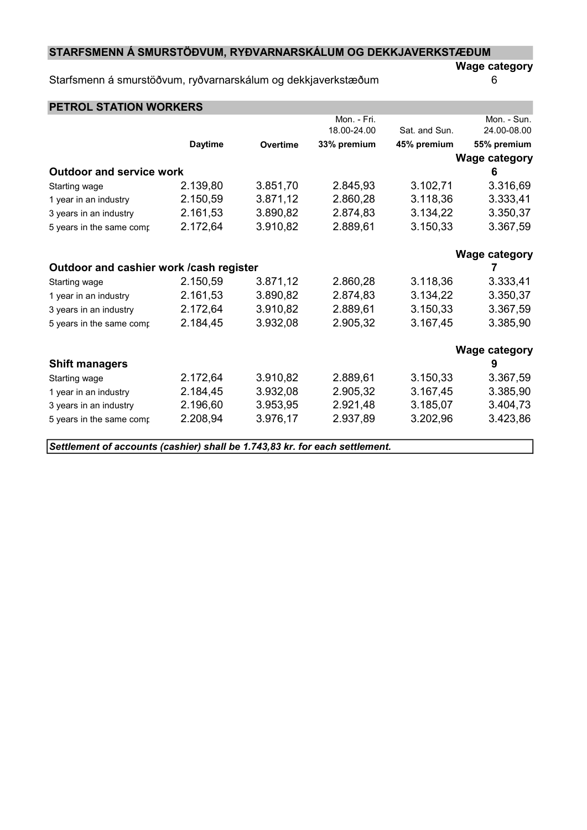### STARFSMENN Á SMURSTÖÐVUM, RYÐVARNARSKÁLUM OG DEKKJAVERKSTÆÐUM

#### Starfsmenn á smurstöðvum, ryðvarnarskálum og dekkjaverkstæðum 6

Wage category

| <b>PETROL STATION WORKERS</b>            |                |                 |             |               |                      |
|------------------------------------------|----------------|-----------------|-------------|---------------|----------------------|
|                                          |                |                 | Mon. - Fri. |               | Mon. - Sun.          |
|                                          |                |                 | 18.00-24.00 | Sat. and Sun. | 24.00-08.00          |
|                                          | <b>Daytime</b> | <b>Overtime</b> | 33% premium | 45% premium   | 55% premium          |
|                                          |                |                 |             |               | <b>Wage category</b> |
| <b>Outdoor and service work</b>          |                |                 |             |               | 6                    |
| Starting wage                            | 2.139,80       | 3.851,70        | 2.845,93    | 3.102,71      | 3.316,69             |
| 1 year in an industry                    | 2.150,59       | 3.871,12        | 2.860,28    | 3.118,36      | 3.333,41             |
| 3 years in an industry                   | 2.161,53       | 3.890,82        | 2.874,83    | 3.134,22      | 3.350,37             |
| 5 years in the same comp                 | 2.172,64       | 3.910,82        | 2.889,61    | 3.150,33      | 3.367,59             |
|                                          |                |                 |             |               | <b>Wage category</b> |
| Outdoor and cashier work / cash register |                |                 |             |               | 7                    |
| Starting wage                            | 2.150,59       | 3.871,12        | 2.860,28    | 3.118,36      | 3.333,41             |
| 1 year in an industry                    | 2.161,53       | 3.890,82        | 2.874,83    | 3.134,22      | 3.350,37             |
| 3 years in an industry                   | 2.172,64       | 3.910,82        | 2.889,61    | 3.150,33      | 3.367,59             |
| 5 years in the same comp                 | 2.184,45       | 3.932,08        | 2.905,32    | 3.167,45      | 3.385,90             |
|                                          |                |                 |             |               | <b>Wage category</b> |
| <b>Shift managers</b>                    |                |                 |             |               | 9                    |
| Starting wage                            | 2.172,64       | 3.910,82        | 2.889,61    | 3.150,33      | 3.367,59             |
| 1 year in an industry                    | 2.184,45       | 3.932,08        | 2.905,32    | 3.167,45      | 3.385,90             |
| 3 years in an industry                   | 2.196,60       | 3.953,95        | 2.921,48    | 3.185,07      | 3.404,73             |
| 5 years in the same comp                 | 2.208,94       | 3.976,17        | 2.937,89    | 3.202,96      | 3.423,86             |
|                                          |                |                 |             |               |                      |

Settlement of accounts (cashier) shall be 1.743,83 kr. for each settlement.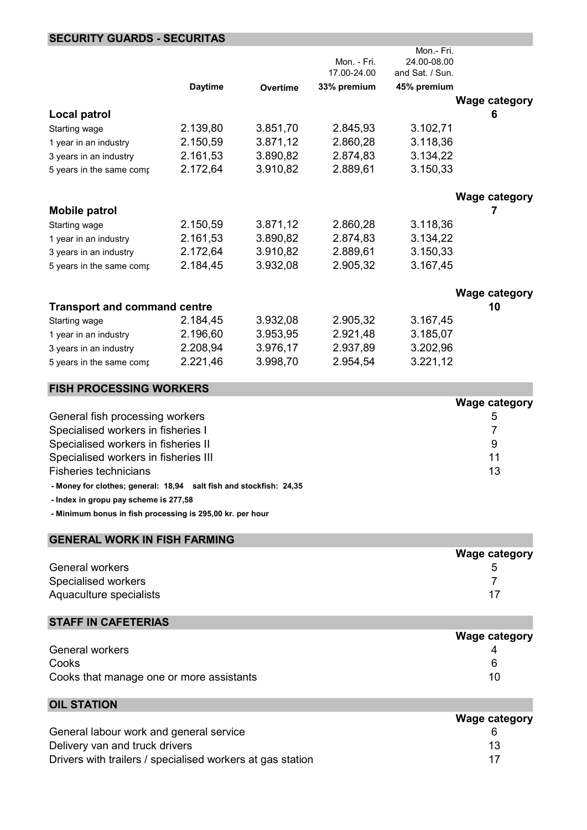#### SECURITY GUARDS - SECURITAS

|                                     |                |                 |             | Mon.- Fri.      |                      |
|-------------------------------------|----------------|-----------------|-------------|-----------------|----------------------|
|                                     |                |                 | Mon. - Fri. | 24.00-08.00     |                      |
|                                     |                |                 | 17.00-24.00 | and Sat. / Sun. |                      |
|                                     | <b>Daytime</b> | <b>Overtime</b> | 33% premium | 45% premium     |                      |
|                                     |                |                 |             |                 | <b>Wage category</b> |
| <b>Local patrol</b>                 |                |                 |             |                 | 6                    |
| Starting wage                       | 2.139,80       | 3.851,70        | 2.845,93    | 3.102,71        |                      |
| 1 year in an industry               | 2.150,59       | 3.871,12        | 2.860,28    | 3.118,36        |                      |
| 3 years in an industry              | 2.161,53       | 3.890,82        | 2.874,83    | 3.134,22        |                      |
| 5 years in the same comp            | 2.172,64       | 3.910,82        | 2.889,61    | 3.150,33        |                      |
|                                     |                |                 |             |                 | <b>Wage category</b> |
| <b>Mobile patrol</b>                |                |                 |             |                 |                      |
| Starting wage                       | 2.150,59       | 3.871,12        | 2.860,28    | 3.118,36        |                      |
| 1 year in an industry               | 2.161,53       | 3.890,82        | 2.874,83    | 3.134,22        |                      |
| 3 years in an industry              | 2.172,64       | 3.910,82        | 2.889,61    | 3.150,33        |                      |
| 5 years in the same comp            | 2.184,45       | 3.932,08        | 2.905,32    | 3.167,45        |                      |
|                                     |                |                 |             |                 | <b>Wage category</b> |
| <b>Transport and command centre</b> |                |                 |             |                 | 10                   |
| Starting wage                       | 2.184,45       | 3.932,08        | 2.905,32    | 3.167,45        |                      |
| 1 year in an industry               | 2.196,60       | 3.953,95        | 2.921,48    | 3.185,07        |                      |
| 3 years in an industry              | 2.208,94       | 3.976,17        | 2.937,89    | 3.202,96        |                      |
| 5 years in the same comp            | 2.221,46       | 3.998,70        | 2.954,54    | 3.221,12        |                      |
| <b>FISH PROCESSING WORKERS</b>      |                |                 |             |                 |                      |
|                                     |                |                 |             |                 | <b>Wage category</b> |
| Ganaral fich procassing workars     |                |                 |             |                 | Б.                   |

| General fish processing workers      | G  |
|--------------------------------------|----|
| Specialised workers in fisheries I   |    |
| Specialised workers in fisheries II  | 9  |
| Specialised workers in fisheries III |    |
| Fisheries technicians                | 13 |
|                                      |    |

- Money for clothes; general: 18,94 salt fish and stockfish: 24,35

- Index in gropu pay scheme is 277,58

- Minimum bonus in fish processing is 295,00 kr. per hour

| <b>GENERAL WORK IN FISH FARMING</b> |                      |
|-------------------------------------|----------------------|
|                                     | <b>Wage category</b> |
| General workers                     | 5                    |
| Specialised workers                 |                      |
| Aquaculture specialists             | 17                   |

## STAFF IN CAFETERIAS

|                                          | <b>Wage category</b> |
|------------------------------------------|----------------------|
| General workers                          |                      |
| Cooks                                    |                      |
| Cooks that manage one or more assistants | 10                   |

| <b>OIL STATION</b>                                         |                      |
|------------------------------------------------------------|----------------------|
|                                                            | <b>Wage category</b> |
| General labour work and general service                    |                      |
| Delivery van and truck drivers                             | 13                   |
| Drivers with trailers / specialised workers at gas station |                      |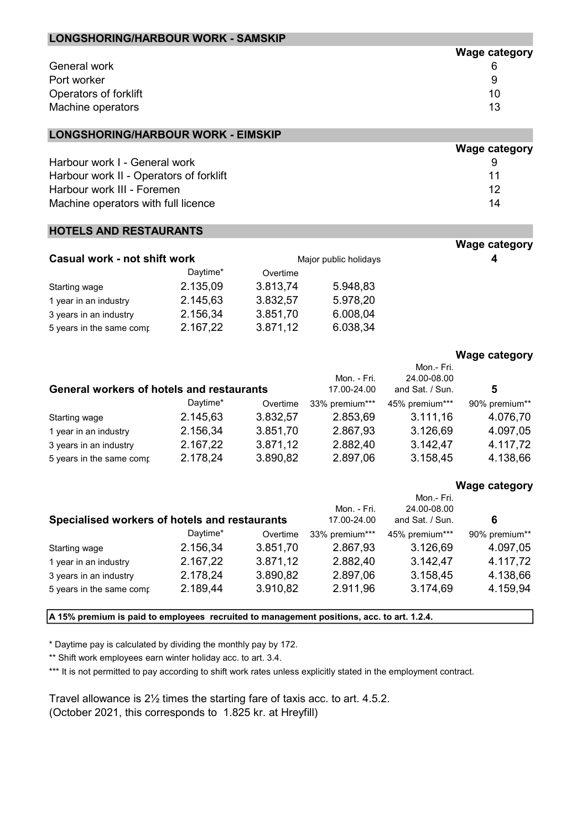| General work                                     |          |          |                            |                                | 6                    |
|--------------------------------------------------|----------|----------|----------------------------|--------------------------------|----------------------|
| Port worker                                      |          |          |                            |                                | 9                    |
| Operators of forklift                            |          |          |                            |                                | 10                   |
| Machine operators                                |          |          |                            |                                | 13                   |
|                                                  |          |          |                            |                                |                      |
| <b>LONGSHORING/HARBOUR WORK - EIMSKIP</b>        |          |          |                            |                                |                      |
|                                                  |          |          |                            |                                | <b>Wage category</b> |
| Harbour work I - General work                    |          |          |                            |                                | 9                    |
| Harbour work II - Operators of forklift          |          |          |                            |                                | 11                   |
| Harbour work III - Foremen                       |          |          |                            |                                | 12                   |
| Machine operators with full licence              |          |          |                            |                                | 14                   |
| <b>HOTELS AND RESTAURANTS</b>                    |          |          |                            |                                |                      |
|                                                  |          |          |                            |                                | <b>Wage category</b> |
| <b>Casual work - not shift work</b>              |          |          | Major public holidays      |                                | 4                    |
|                                                  | Daytime* | Overtime |                            |                                |                      |
| Starting wage                                    | 2.135,09 | 3.813,74 | 5.948,83                   |                                |                      |
| 1 year in an industry                            | 2.145,63 | 3.832,57 | 5.978,20                   |                                |                      |
| 3 years in an industry                           | 2.156,34 | 3.851,70 | 6.008,04                   |                                |                      |
| 5 years in the same comp                         | 2.167,22 | 3.871,12 | 6.038,34                   |                                |                      |
|                                                  |          |          |                            |                                | <b>Wage category</b> |
|                                                  |          |          |                            | Mon.- Fri.                     |                      |
|                                                  |          |          | Mon. - Fri.                | 24.00-08.00                    |                      |
| <b>General workers of hotels and restaurants</b> |          |          | 17.00-24.00                | and Sat. / Sun.                | 5                    |
|                                                  | Daytime* | Overtime | 33% premium***             | 45% premium***                 | 90% premium**        |
| Starting wage                                    | 2.145,63 | 3.832,57 | 2.853,69                   | 3.111,16                       | 4.076,70             |
| 1 year in an industry                            | 2.156,34 | 3.851,70 | 2.867,93                   | 3.126,69                       | 4.097,05             |
| 3 years in an industry                           | 2.167,22 | 3.871,12 | 2.882,40                   | 3.142,47                       | 4.117,72             |
| 5 years in the same comp                         | 2.178,24 | 3.890,82 | 2.897,06                   | 3.158,45                       | 4.138,66             |
|                                                  |          |          |                            |                                | <b>Wage category</b> |
|                                                  |          |          |                            | Mon.- Fri.                     |                      |
| Specialised workers of hotels and restaurants    |          |          | Mon. - Fri.<br>17.00-24.00 | 24.00-08.00<br>and Sat. / Sun. | 6                    |
|                                                  | Daytime* | Overtime | 33% premium***             | 45% premium***                 | 90% premium**        |
| Starting wage                                    | 2.156,34 | 3.851,70 | 2.867,93                   | 3.126,69                       | 4.097,05             |
| 1 year in an industry                            | 2.167,22 | 3.871,12 | 2.882,40                   | 3.142,47                       | 4.117,72             |
| 3 years in an industry                           | 2.178,24 | 3.890,82 | 2.897,06                   | 3.158,45                       | 4.138,66             |
| 5 years in the same comp                         | 2.189,44 | 3.910,82 | 2.911,96                   | 3.174,69                       | 4.159,94             |
|                                                  |          |          |                            |                                |                      |

Wage category

A 15% premium is paid to employees recruited to management positions, acc. to art. 1.2.4.

\* Daytime pay is calculated by dividing the monthly pay by 172.

\*\* Shift work employees earn winter holiday acc. to art. 3.4.

LONGSHORING/HARBOUR WORK - SAMSKIP

\*\*\* It is not permitted to pay according to shift work rates unless explicitly stated in the employment contract.

Travel allowance is 2½ times the starting fare of taxis acc. to art. 4.5.2. (October 2021, this corresponds to 1.825 kr. at Hreyfill)